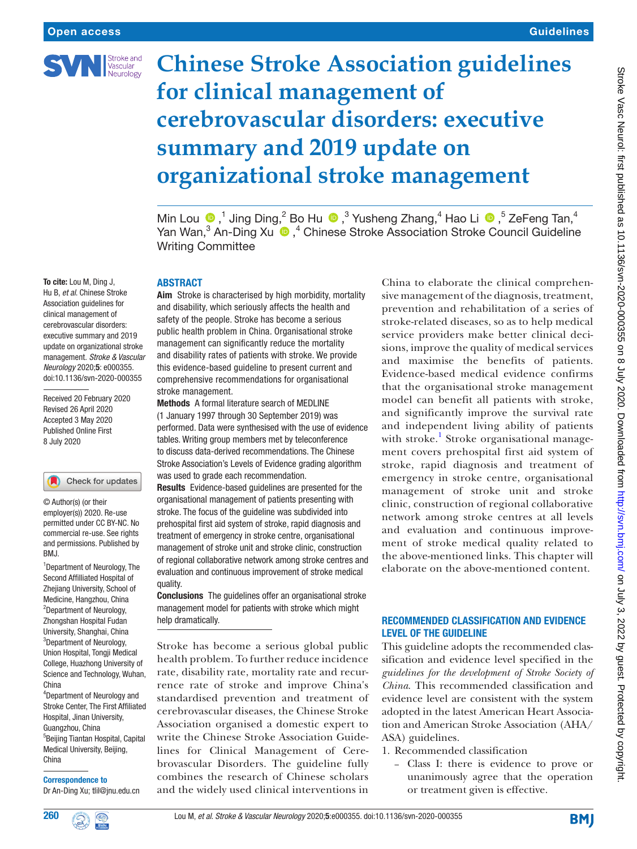

# **Chinese Stroke Association guidelines for clinical management of cerebrovascular disorders: executive summary and 2019 update on organizational stroke management**

MinLou  $\bullet$ ,<sup>1</sup> Jing Ding,<sup>2</sup> Bo Hu  $\bullet$ ,<sup>3</sup> Yusheng Zhang,<sup>4</sup> Hao Li  $\bullet$ ,<sup>5</sup> ZeFeng Tan,<sup>4</sup> YanWan,<sup>3</sup> An-Ding Xu  $\bigcirc$ ,<sup>4</sup> Chinese Stroke Association Stroke Council Guideline Writing Committee

#### **ABSTRACT**

Aim Stroke is characterised by high morbidity, mortality and disability, which seriously affects the health and safety of the people. Stroke has become a serious public health problem in China. Organisational stroke management can significantly reduce the mortality and disability rates of patients with stroke. We provide this evidence-based guideline to present current and comprehensive recommendations for organisational stroke management.

Methods A formal literature search of MEDLINE (1 January 1997 through 30 September 2019) was performed. Data were synthesised with the use of evidence tables. Writing group members met by teleconference to discuss data-derived recommendations. The Chinese Stroke Association's Levels of Evidence grading algorithm was used to grade each recommendation.

Results Evidence-based guidelines are presented for the organisational management of patients presenting with stroke. The focus of the guideline was subdivided into prehospital first aid system of stroke, rapid diagnosis and treatment of emergency in stroke centre, organisational management of stroke unit and stroke clinic, construction of regional collaborative network among stroke centres and evaluation and continuous improvement of stroke medical quality.

Conclusions The guidelines offer an organisational stroke management model for patients with stroke which might help dramatically.

Stroke has become a serious global public health problem. To further reduce incidence rate, disability rate, mortality rate and recurrence rate of stroke and improve China's standardised prevention and treatment of cerebrovascular diseases, the Chinese Stroke Association organised a domestic expert to write the Chinese Stroke Association Guidelines for Clinical Management of Cerebrovascular Disorders. The guideline fully combines the research of Chinese scholars and the widely used clinical interventions in

China to elaborate the clinical comprehensive management of the diagnosis, treatment, prevention and rehabilitation of a series of stroke-related diseases, so as to help medical service providers make better clinical decisions, improve the quality of medical services and maximise the benefits of patients. Evidence-based medical evidence confirms that the organisational stroke management model can benefit all patients with stroke, and significantly improve the survival rate and independent living ability of patients with stroke.<sup>[1](#page-9-0)</sup> Stroke organisational management covers prehospital first aid system of stroke, rapid diagnosis and treatment of emergency in stroke centre, organisational management of stroke unit and stroke clinic, construction of regional collaborative network among stroke centres at all levels and evaluation and continuous improvement of stroke medical quality related to the above-mentioned links. This chapter will elaborate on the above-mentioned content.

#### Recommended classification and evidence level of the guideline

This guideline adopts the recommended classification and evidence level specified in the *guidelines for the development of Stroke Society of China*. This recommended classification and evidence level are consistent with the system adopted in the latest American Heart Association and American Stroke Association (AHA/ ASA) guidelines.

- 1. Recommended classification
	- Class I: there is evidence to prove or unanimously agree that the operation or treatment given is effective.

To cite: Lou M, Ding J, Hu B, *et al*. Chinese Stroke Association guidelines for clinical management of cerebrovascular disorders: executive summary and 2019 update on organizational stroke management. *Stroke & Vascular Neurology* 2020;5: e000355. doi:10.1136/svn-2020-000355

Received 20 February 2020 Revised 26 April 2020 Accepted 3 May 2020 Published Online First 8 July 2020

#### Check for updates

© Author(s) (or their employer(s)) 2020. Re-use permitted under CC BY-NC. No commercial re-use. See rights and permissions. Published by RM<sub>J</sub>

<sup>1</sup> Department of Neurology, The Second Affilliated Hospital of Zhejiang University, School of Medicine, Hangzhou, China <sup>2</sup>Department of Neurology, Zhongshan Hospital Fudan University, Shanghai, China <sup>3</sup>Department of Neurology, Union Hospital, Tongji Medical College, Huazhong University of Science and Technology, Wuhan, China

4 Department of Neurology and Stroke Center, The First Affiliated Hospital, Jinan University, Guangzhou, China 5 Beijing Tiantan Hospital, Capital Medical University, Beijing, China

Correspondence to Dr An-Ding Xu; tlil@jnu.edu.cn



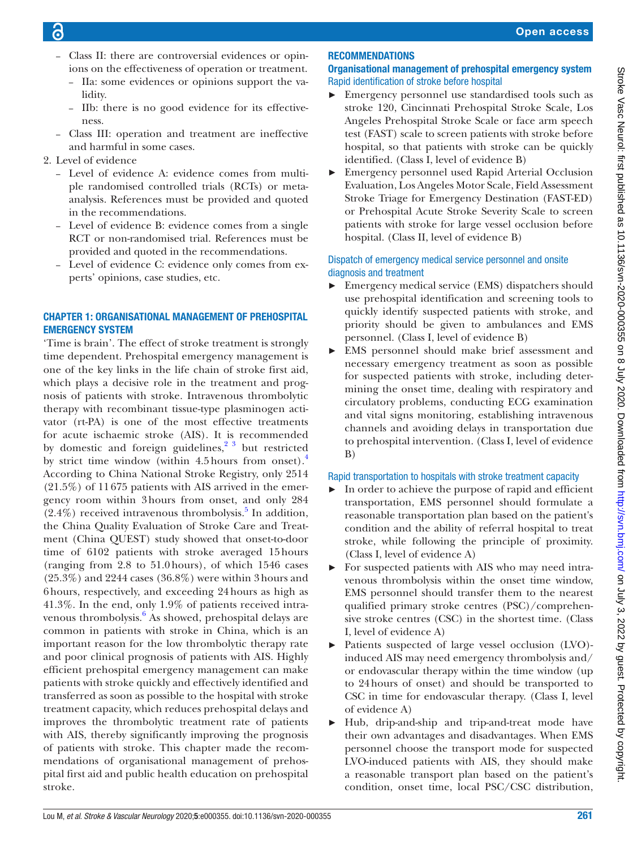- Class II: there are controversial evidences or opinions on the effectiveness of operation or treatment.
	- IIa: some evidences or opinions support the validity.
	- IIb: there is no good evidence for its effectiveness.
- Class III: operation and treatment are ineffective and harmful in some cases.
- 2. Level of evidence
	- Level of evidence A: evidence comes from multiple randomised controlled trials (RCTs) or metaanalysis. References must be provided and quoted in the recommendations.
	- Level of evidence B: evidence comes from a single RCT or non-randomised trial. References must be provided and quoted in the recommendations.
	- Level of evidence C: evidence only comes from experts' opinions, case studies, etc.

## Chapter 1: organisational management of prehospital emergency system

'Time is brain'. The effect of stroke treatment is strongly time dependent. Prehospital emergency management is one of the key links in the life chain of stroke first aid, which plays a decisive role in the treatment and prognosis of patients with stroke. Intravenous thrombolytic therapy with recombinant tissue-type plasminogen activator (rt-PA) is one of the most effective treatments for acute ischaemic stroke (AIS). It is recommended by domestic and foreign guidelines, $2^3$  but restricted by strict time window (within [4](#page-9-2).5 hours from onset).<sup>4</sup> According to China National Stroke Registry, only 2514 (21.5%) of 11 675 patients with AIS arrived in the emergency room within 3hours from onset, and only 284  $(2.4\%)$  received intravenous thrombolysis.<sup>[5](#page-9-3)</sup> In addition, the China Quality Evaluation of Stroke Care and Treatment (China QUEST) study showed that onset-to-door time of 6102 patients with stroke averaged 15hours (ranging from 2.8 to 51.0hours), of which 1546 cases (25.3%) and 2244 cases (36.8%) were within 3hours and 6hours, respectively, and exceeding 24hours as high as 41.3%. In the end, only 1.9% of patients received intra-venous thrombolysis.<sup>[6](#page-9-4)</sup> As showed, prehospital delays are common in patients with stroke in China, which is an important reason for the low thrombolytic therapy rate and poor clinical prognosis of patients with AIS. Highly efficient prehospital emergency management can make patients with stroke quickly and effectively identified and transferred as soon as possible to the hospital with stroke treatment capacity, which reduces prehospital delays and improves the thrombolytic treatment rate of patients with AIS, thereby significantly improving the prognosis of patients with stroke. This chapter made the recommendations of organisational management of prehospital first aid and public health education on prehospital stroke.

## **RECOMMENDATIONS**

#### Organisational management of prehospital emergency system Rapid identification of stroke before hospital

- ► Emergency personnel use standardised tools such as stroke 120, Cincinnati Prehospital Stroke Scale, Los Angeles Prehospital Stroke Scale or face arm speech test (FAST) scale to screen patients with stroke before hospital, so that patients with stroke can be quickly identified. (Class I, level of evidence B)
- ► Emergency personnel used Rapid Arterial Occlusion Evaluation, Los Angeles Motor Scale, Field Assessment Stroke Triage for Emergency Destination (FAST-ED) or Prehospital Acute Stroke Severity Scale to screen patients with stroke for large vessel occlusion before hospital. (Class II, level of evidence B)

## Dispatch of emergency medical service personnel and onsite diagnosis and treatment

- ► Emergency medical service (EMS) dispatchers should use prehospital identification and screening tools to quickly identify suspected patients with stroke, and priority should be given to ambulances and EMS personnel. (Class I, level of evidence B)
- EMS personnel should make brief assessment and necessary emergency treatment as soon as possible for suspected patients with stroke, including determining the onset time, dealing with respiratory and circulatory problems, conducting ECG examination and vital signs monitoring, establishing intravenous channels and avoiding delays in transportation due to prehospital intervention. (Class I, level of evidence B)

## Rapid transportation to hospitals with stroke treatment capacity

- In order to achieve the purpose of rapid and efficient transportation, EMS personnel should formulate a reasonable transportation plan based on the patient's condition and the ability of referral hospital to treat stroke, while following the principle of proximity. (Class I, level of evidence A)
- ► For suspected patients with AIS who may need intravenous thrombolysis within the onset time window, EMS personnel should transfer them to the nearest qualified primary stroke centres (PSC)/comprehensive stroke centres (CSC) in the shortest time. (Class I, level of evidence A)
- ► Patients suspected of large vessel occlusion (LVO) induced AIS may need emergency thrombolysis and/ or endovascular therapy within the time window (up to 24hours of onset) and should be transported to CSC in time for endovascular therapy. (Class I, level of evidence A)
- ► Hub, drip-and-ship and trip-and-treat mode have their own advantages and disadvantages. When EMS personnel choose the transport mode for suspected LVO-induced patients with AIS, they should make a reasonable transport plan based on the patient's condition, onset time, local PSC/CSC distribution,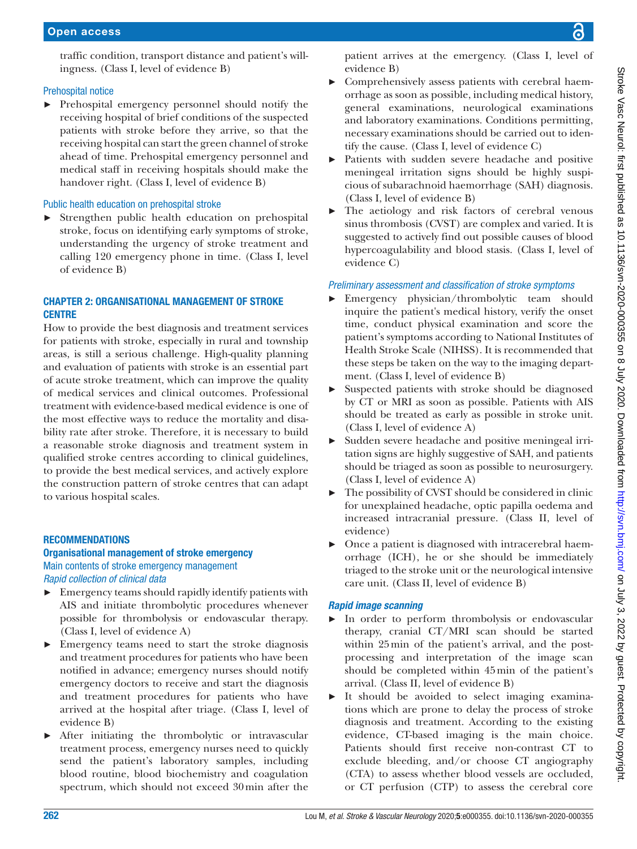#### Prehospital notice

► Prehospital emergency personnel should notify the receiving hospital of brief conditions of the suspected patients with stroke before they arrive, so that the receiving hospital can start the green channel of stroke ahead of time. Prehospital emergency personnel and medical staff in receiving hospitals should make the handover right. (Class I, level of evidence B)

#### Public health education on prehospital stroke

► Strengthen public health education on prehospital stroke, focus on identifying early symptoms of stroke, understanding the urgency of stroke treatment and calling 120 emergency phone in time. (Class I, level of evidence B)

#### Chapter 2: organisational management of stroke **CENTRE**

How to provide the best diagnosis and treatment services for patients with stroke, especially in rural and township areas, is still a serious challenge. High-quality planning and evaluation of patients with stroke is an essential part of acute stroke treatment, which can improve the quality of medical services and clinical outcomes. Professional treatment with evidence-based medical evidence is one of the most effective ways to reduce the mortality and disability rate after stroke. Therefore, it is necessary to build a reasonable stroke diagnosis and treatment system in qualified stroke centres according to clinical guidelines, to provide the best medical services, and actively explore the construction pattern of stroke centres that can adapt to various hospital scales.

#### **RECOMMENDATIONS**

## Organisational management of stroke emergency Main contents of stroke emergency management

*Rapid collection of clinical data*

- $\blacktriangleright$  Emergency teams should rapidly identify patients with AIS and initiate thrombolytic procedures whenever possible for thrombolysis or endovascular therapy. (Class I, level of evidence A)
- ► Emergency teams need to start the stroke diagnosis and treatment procedures for patients who have been notified in advance; emergency nurses should notify emergency doctors to receive and start the diagnosis and treatment procedures for patients who have arrived at the hospital after triage. (Class I, level of evidence B)
- After initiating the thrombolytic or intravascular treatment process, emergency nurses need to quickly send the patient's laboratory samples, including blood routine, blood biochemistry and coagulation spectrum, which should not exceed 30min after the

patient arrives at the emergency. (Class I, level of evidence B)

- Comprehensively assess patients with cerebral haemorrhage as soon as possible, including medical history, general examinations, neurological examinations and laboratory examinations. Conditions permitting, necessary examinations should be carried out to identify the cause. (Class I, level of evidence C)
- Patients with sudden severe headache and positive meningeal irritation signs should be highly suspicious of subarachnoid haemorrhage (SAH) diagnosis. (Class I, level of evidence B)
- The aetiology and risk factors of cerebral venous sinus thrombosis (CVST) are complex and varied. It is suggested to actively find out possible causes of blood hypercoagulability and blood stasis. (Class I, level of evidence C)

#### *Preliminary assessment and classification of stroke symptoms*

- ► Emergency physician/thrombolytic team should inquire the patient's medical history, verify the onset time, conduct physical examination and score the patient's symptoms according to National Institutes of Health Stroke Scale (NIHSS). It is recommended that these steps be taken on the way to the imaging department. (Class I, level of evidence B)
- ► Suspected patients with stroke should be diagnosed by CT or MRI as soon as possible. Patients with AIS should be treated as early as possible in stroke unit. (Class I, level of evidence A)
- ► Sudden severe headache and positive meningeal irritation signs are highly suggestive of SAH, and patients should be triaged as soon as possible to neurosurgery. (Class I, level of evidence A)
- The possibility of CVST should be considered in clinic for unexplained headache, optic papilla oedema and increased intracranial pressure. (Class II, level of evidence)
- Once a patient is diagnosed with intracerebral haemorrhage (ICH), he or she should be immediately triaged to the stroke unit or the neurological intensive care unit. (Class II, level of evidence B)

#### *Rapid image scanning*

- ► In order to perform thrombolysis or endovascular therapy, cranial CT/MRI scan should be started within 25min of the patient's arrival, and the postprocessing and interpretation of the image scan should be completed within 45min of the patient's arrival. (Class II, level of evidence B)
- ► It should be avoided to select imaging examinations which are prone to delay the process of stroke diagnosis and treatment. According to the existing evidence, CT-based imaging is the main choice. Patients should first receive non-contrast CT to exclude bleeding, and/or choose CT angiography (CTA) to assess whether blood vessels are occluded, or CT perfusion (CTP) to assess the cerebral core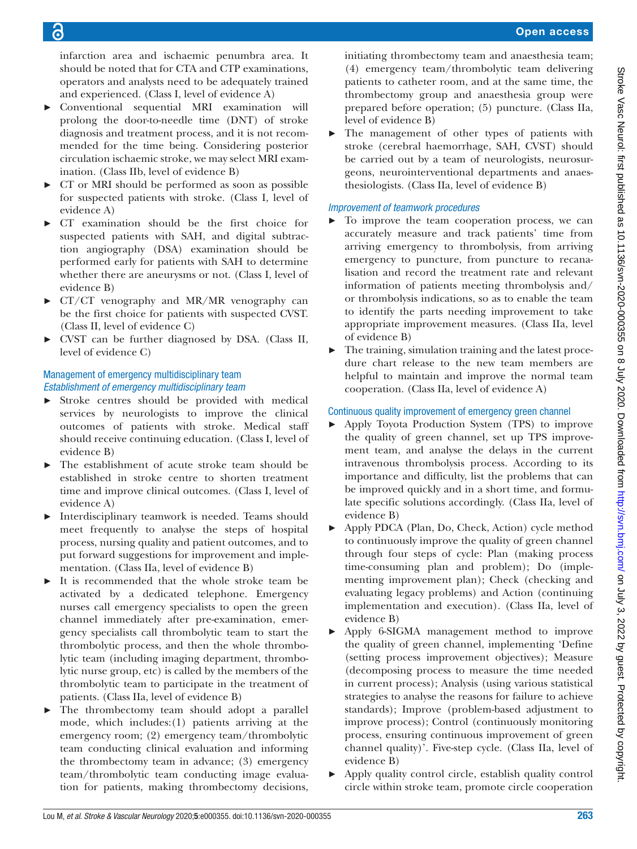infarction area and ischaemic penumbra area. It should be noted that for CTA and CTP examinations, operators and analysts need to be adequately trained and experienced. (Class I, level of evidence A)

- ► Conventional sequential MRI examination will prolong the door-to-needle time (DNT) of stroke diagnosis and treatment process, and it is not recommended for the time being. Considering posterior circulation ischaemic stroke, we may select MRI examination. (Class IIb, level of evidence B)
- ► CT or MRI should be performed as soon as possible for suspected patients with stroke. (Class I, level of evidence A)
- ► CT examination should be the first choice for suspected patients with SAH, and digital subtraction angiography (DSA) examination should be performed early for patients with SAH to determine whether there are aneurysms or not. (Class I, level of evidence B)
- ► CT/CT venography and MR/MR venography can be the first choice for patients with suspected CVST. (Class II, level of evidence C)
- ► CVST can be further diagnosed by DSA. (Class II, level of evidence C)

#### Management of emergency multidisciplinary team *Establishment of emergency multidisciplinary team*

- ► Stroke centres should be provided with medical services by neurologists to improve the clinical outcomes of patients with stroke. Medical staff should receive continuing education. (Class I, level of evidence B)
- The establishment of acute stroke team should be established in stroke centre to shorten treatment time and improve clinical outcomes. (Class I, level of evidence A)
- Interdisciplinary teamwork is needed. Teams should meet frequently to analyse the steps of hospital process, nursing quality and patient outcomes, and to put forward suggestions for improvement and implementation. (Class IIa, level of evidence B)
- It is recommended that the whole stroke team be activated by a dedicated telephone. Emergency nurses call emergency specialists to open the green channel immediately after pre-examination, emergency specialists call thrombolytic team to start the thrombolytic process, and then the whole thrombolytic team (including imaging department, thrombolytic nurse group, etc) is called by the members of the thrombolytic team to participate in the treatment of patients. (Class IIa, level of evidence B)
- The thrombectomy team should adopt a parallel mode, which includes:(1) patients arriving at the emergency room; (2) emergency team/thrombolytic team conducting clinical evaluation and informing the thrombectomy team in advance; (3) emergency team/thrombolytic team conducting image evaluation for patients, making thrombectomy decisions,

initiating thrombectomy team and anaesthesia team; (4) emergency team/thrombolytic team delivering patients to catheter room, and at the same time, the thrombectomy group and anaesthesia group were prepared before operation; (5) puncture. (Class IIa, level of evidence B)

► The management of other types of patients with stroke (cerebral haemorrhage, SAH, CVST) should be carried out by a team of neurologists, neurosurgeons, neurointerventional departments and anaesthesiologists. (Class IIa, level of evidence B)

## *Improvement of teamwork procedures*

- ► To improve the team cooperation process, we can accurately measure and track patients' time from arriving emergency to thrombolysis, from arriving emergency to puncture, from puncture to recanalisation and record the treatment rate and relevant information of patients meeting thrombolysis and/ or thrombolysis indications, so as to enable the team to identify the parts needing improvement to take appropriate improvement measures. (Class IIa, level of evidence B)
- The training, simulation training and the latest procedure chart release to the new team members are helpful to maintain and improve the normal team cooperation. (Class IIa, level of evidence A)

## Continuous quality improvement of emergency green channel

- ► Apply Toyota Production System (TPS) to improve the quality of green channel, set up TPS improvement team, and analyse the delays in the current intravenous thrombolysis process. According to its importance and difficulty, list the problems that can be improved quickly and in a short time, and formulate specific solutions accordingly. (Class IIa, level of evidence B)
- ► Apply PDCA (Plan, Do, Check, Action) cycle method to continuously improve the quality of green channel through four steps of cycle: Plan (making process time-consuming plan and problem); Do (implementing improvement plan); Check (checking and evaluating legacy problems) and Action (continuing implementation and execution). (Class IIa, level of evidence B)
- ► Apply 6-SIGMA management method to improve the quality of green channel, implementing 'Define (setting process improvement objectives); Measure (decomposing process to measure the time needed in current process); Analysis (using various statistical strategies to analyse the reasons for failure to achieve standards); Improve (problem-based adjustment to improve process); Control (continuously monitoring process, ensuring continuous improvement of green channel quality)'. Five-step cycle. (Class IIa, level of evidence B)
- ► Apply quality control circle, establish quality control circle within stroke team, promote circle cooperation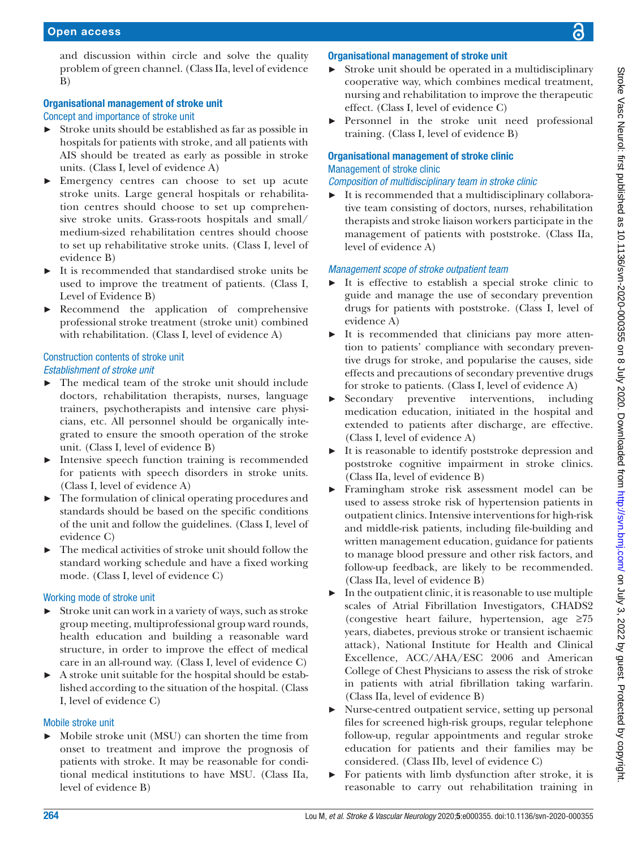and discussion within circle and solve the quality problem of green channel. (Class IIa, level of evidence B)

## Organisational management of stroke unit

Concept and importance of stroke unit

- ► Stroke units should be established as far as possible in hospitals for patients with stroke, and all patients with AIS should be treated as early as possible in stroke units. (Class I, level of evidence A)
- ► Emergency centres can choose to set up acute stroke units. Large general hospitals or rehabilitation centres should choose to set up comprehensive stroke units. Grass-roots hospitals and small/ medium-sized rehabilitation centres should choose to set up rehabilitative stroke units. (Class I, level of evidence B)
- ► It is recommended that standardised stroke units be used to improve the treatment of patients. (Class I, Level of Evidence B)
- ► Recommend the application of comprehensive professional stroke treatment (stroke unit) combined with rehabilitation. (Class I, level of evidence A)

#### Construction contents of stroke unit *Establishment of stroke unit*

- The medical team of the stroke unit should include doctors, rehabilitation therapists, nurses, language trainers, psychotherapists and intensive care physicians, etc. All personnel should be organically integrated to ensure the smooth operation of the stroke unit. (Class I, level of evidence B)
- Intensive speech function training is recommended for patients with speech disorders in stroke units. (Class I, level of evidence A)
- ► The formulation of clinical operating procedures and standards should be based on the specific conditions of the unit and follow the guidelines. (Class I, level of evidence C)
- ► The medical activities of stroke unit should follow the standard working schedule and have a fixed working mode. (Class I, level of evidence C)

#### Working mode of stroke unit

- ► Stroke unit can work in a variety of ways, such as stroke group meeting, multiprofessional group ward rounds, health education and building a reasonable ward structure, in order to improve the effect of medical care in an all-round way. (Class I, level of evidence C)
- ► A stroke unit suitable for the hospital should be established according to the situation of the hospital. (Class I, level of evidence C)

#### Mobile stroke unit

► Mobile stroke unit (MSU) can shorten the time from onset to treatment and improve the prognosis of patients with stroke. It may be reasonable for conditional medical institutions to have MSU. (Class IIa, level of evidence B)

## Organisational management of stroke unit

- Stroke unit should be operated in a multidisciplinary cooperative way, which combines medical treatment, nursing and rehabilitation to improve the therapeutic effect. (Class I, level of evidence C)
- Personnel in the stroke unit need professional training. (Class I, level of evidence B)

## Organisational management of stroke clinic Management of stroke clinic

## *Composition of multidisciplinary team in stroke clinic*

 $\blacktriangleright$  It is recommended that a multidisciplinary collaborative team consisting of doctors, nurses, rehabilitation therapists and stroke liaison workers participate in the management of patients with poststroke. (Class IIa, level of evidence A)

#### *Management scope of stroke outpatient team*

- It is effective to establish a special stroke clinic to guide and manage the use of secondary prevention drugs for patients with poststroke. (Class I, level of evidence A)
- ► It is recommended that clinicians pay more attention to patients' compliance with secondary preventive drugs for stroke, and popularise the causes, side effects and precautions of secondary preventive drugs for stroke to patients. (Class I, level of evidence A)
- Secondary preventive interventions, including medication education, initiated in the hospital and extended to patients after discharge, are effective. (Class I, level of evidence A)
- ► It is reasonable to identify poststroke depression and poststroke cognitive impairment in stroke clinics. (Class IIa, level of evidence B)
- Framingham stroke risk assessment model can be used to assess stroke risk of hypertension patients in outpatient clinics. Intensive interventions for high-risk and middle-risk patients, including file-building and written management education, guidance for patients to manage blood pressure and other risk factors, and follow-up feedback, are likely to be recommended. (Class IIa, level of evidence B)
- $\blacktriangleright$  In the outpatient clinic, it is reasonable to use multiple scales of Atrial Fibrillation Investigators, CHADS2 (congestive heart failure, hypertension, age ≥75 years, diabetes, previous stroke or transient ischaemic attack), National Institute for Health and Clinical Excellence, ACC/AHA/ESC 2006 and American College of Chest Physicians to assess the risk of stroke in patients with atrial fibrillation taking warfarin. (Class IIa, level of evidence B)
- ► Nurse-centred outpatient service, setting up personal files for screened high-risk groups, regular telephone follow-up, regular appointments and regular stroke education for patients and their families may be considered. (Class IIb, level of evidence C)
- ► For patients with limb dysfunction after stroke, it is reasonable to carry out rehabilitation training in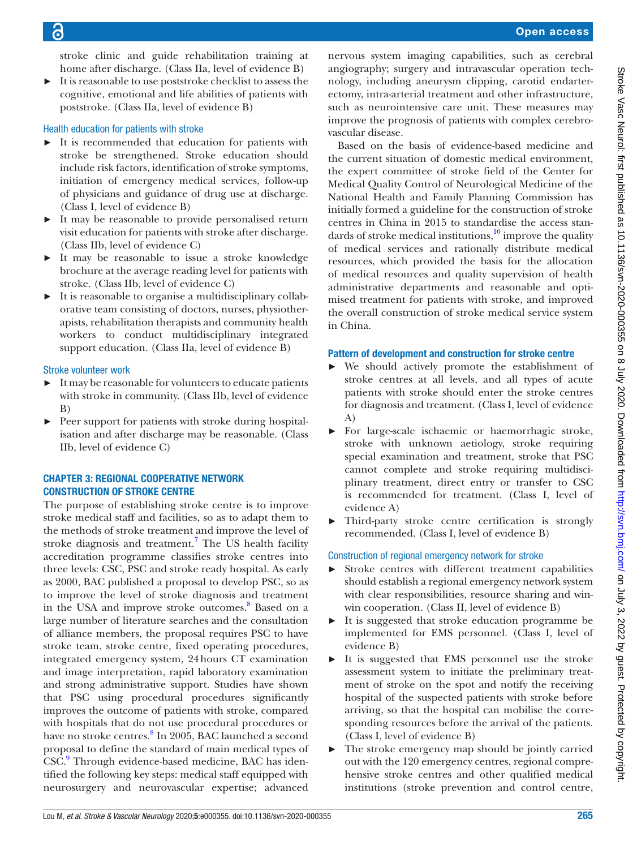stroke clinic and guide rehabilitation training at home after discharge. (Class IIa, level of evidence B)

► It is reasonable to use poststroke checklist to assess the cognitive, emotional and life abilities of patients with poststroke. (Class IIa, level of evidence B)

#### Health education for patients with stroke

- ► It is recommended that education for patients with stroke be strengthened. Stroke education should include risk factors, identification of stroke symptoms, initiation of emergency medical services, follow-up of physicians and guidance of drug use at discharge. (Class I, level of evidence B)
- ► It may be reasonable to provide personalised return visit education for patients with stroke after discharge. (Class IIb, level of evidence C)
- ► It may be reasonable to issue a stroke knowledge brochure at the average reading level for patients with stroke. (Class IIb, level of evidence C)
- It is reasonable to organise a multidisciplinary collaborative team consisting of doctors, nurses, physiotherapists, rehabilitation therapists and community health workers to conduct multidisciplinary integrated support education. (Class IIa, level of evidence B)

#### Stroke volunteer work

- It may be reasonable for volunteers to educate patients with stroke in community. (Class IIb, level of evidence B)
- Peer support for patients with stroke during hospitalisation and after discharge may be reasonable. (Class IIb, level of evidence C)

#### Chapter 3: regional cooperative network construction of stroke centre

The purpose of establishing stroke centre is to improve stroke medical staff and facilities, so as to adapt them to the methods of stroke treatment and improve the level of stroke diagnosis and treatment.<sup>[7](#page-9-5)</sup> The US health facility accreditation programme classifies stroke centres into three levels: CSC, PSC and stroke ready hospital. As early as 2000, BAC published a proposal to develop PSC, so as to improve the level of stroke diagnosis and treatment in the USA and improve stroke outcomes.<sup>[8](#page-9-6)</sup> Based on a large number of literature searches and the consultation of alliance members, the proposal requires PSC to have stroke team, stroke centre, fixed operating procedures, integrated emergency system, 24hours CT examination and image interpretation, rapid laboratory examination and strong administrative support. Studies have shown that PSC using procedural procedures significantly improves the outcome of patients with stroke, compared with hospitals that do not use procedural procedures or have no stroke centres.<sup>[8](#page-9-6)</sup> In 2005, BAC launched a second proposal to define the standard of main medical types of CSC.<sup>[9](#page-9-7)</sup> Through evidence-based medicine, BAC has identified the following key steps: medical staff equipped with neurosurgery and neurovascular expertise; advanced

nervous system imaging capabilities, such as cerebral angiography; surgery and intravascular operation technology, including aneurysm clipping, carotid endarterectomy, intra-arterial treatment and other infrastructure, such as neurointensive care unit. These measures may improve the prognosis of patients with complex cerebrovascular disease.

Based on the basis of evidence-based medicine and the current situation of domestic medical environment, the expert committee of stroke field of the Center for Medical Quality Control of Neurological Medicine of the National Health and Family Planning Commission has initially formed a guideline for the construction of stroke centres in China in 2015 to standardise the access standards of stroke medical institutions, $^{10}$  $^{10}$  $^{10}$  improve the quality of medical services and rationally distribute medical resources, which provided the basis for the allocation of medical resources and quality supervision of health administrative departments and reasonable and optimised treatment for patients with stroke, and improved the overall construction of stroke medical service system in China.

#### Pattern of development and construction for stroke centre

- ► We should actively promote the establishment of stroke centres at all levels, and all types of acute patients with stroke should enter the stroke centres for diagnosis and treatment. (Class I, level of evidence A)
- ► For large-scale ischaemic or haemorrhagic stroke, stroke with unknown aetiology, stroke requiring special examination and treatment, stroke that PSC cannot complete and stroke requiring multidisciplinary treatment, direct entry or transfer to CSC is recommended for treatment. (Class I, level of evidence A)
- ► Third-party stroke centre certification is strongly recommended. (Class I, level of evidence B)

## Construction of regional emergency network for stroke

- ► Stroke centres with different treatment capabilities should establish a regional emergency network system with clear responsibilities, resource sharing and winwin cooperation. (Class II, level of evidence B)
- ► It is suggested that stroke education programme be implemented for EMS personnel. (Class I, level of evidence B)
- It is suggested that EMS personnel use the stroke assessment system to initiate the preliminary treatment of stroke on the spot and notify the receiving hospital of the suspected patients with stroke before arriving, so that the hospital can mobilise the corresponding resources before the arrival of the patients. (Class I, level of evidence B)
- ► The stroke emergency map should be jointly carried out with the 120 emergency centres, regional comprehensive stroke centres and other qualified medical institutions (stroke prevention and control centre,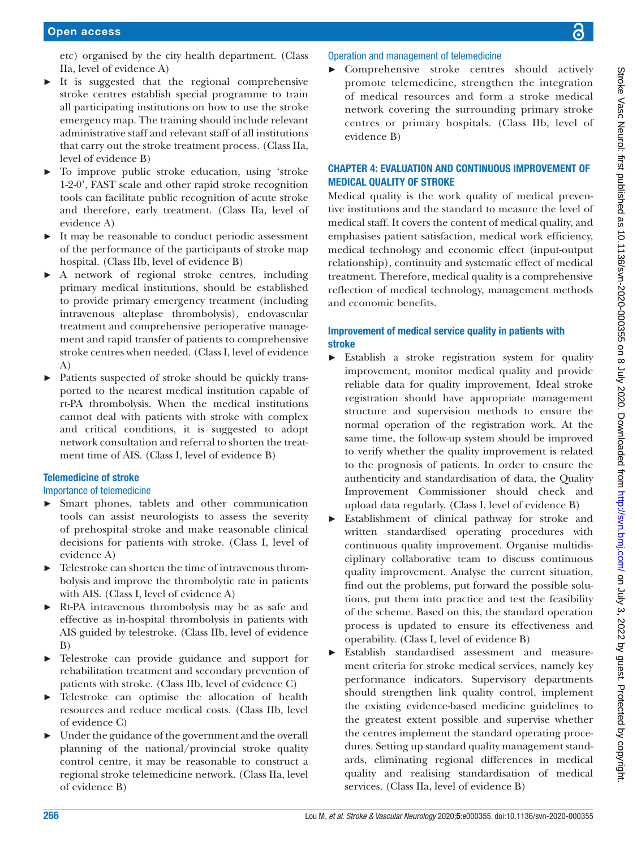etc) organised by the city health department. (Class IIa, level of evidence A)

- $\triangleright$  It is suggested that the regional comprehensive stroke centres establish special programme to train all participating institutions on how to use the stroke emergency map. The training should include relevant administrative staff and relevant staff of all institutions that carry out the stroke treatment process. (Class IIa, level of evidence B)
- ► To improve public stroke education, using 'stroke 1-2-0', FAST scale and other rapid stroke recognition tools can facilitate public recognition of acute stroke and therefore, early treatment. (Class IIa, level of evidence A)
- ► It may be reasonable to conduct periodic assessment of the performance of the participants of stroke map hospital. (Class IIb, level of evidence B)
- ► A network of regional stroke centres, including primary medical institutions, should be established to provide primary emergency treatment (including intravenous alteplase thrombolysis), endovascular treatment and comprehensive perioperative management and rapid transfer of patients to comprehensive stroke centres when needed. (Class I, level of evidence A)
- ► Patients suspected of stroke should be quickly transported to the nearest medical institution capable of rt-PA thrombolysis. When the medical institutions cannot deal with patients with stroke with complex and critical conditions, it is suggested to adopt network consultation and referral to shorten the treatment time of AIS. (Class I, level of evidence B)

#### Telemedicine of stroke

Importance of telemedicine

- ► Smart phones, tablets and other communication tools can assist neurologists to assess the severity of prehospital stroke and make reasonable clinical decisions for patients with stroke. (Class I, level of evidence A)
- Telestroke can shorten the time of intravenous thrombolysis and improve the thrombolytic rate in patients with AIS. (Class I, level of evidence A)
- ► Rt-PA intravenous thrombolysis may be as safe and effective as in-hospital thrombolysis in patients with AIS guided by telestroke. (Class IIb, level of evidence B)
- Telestroke can provide guidance and support for rehabilitation treatment and secondary prevention of patients with stroke. (Class IIb, level of evidence C)
- Telestroke can optimise the allocation of health resources and reduce medical costs. (Class IIb, level of evidence C)
- ► Under the guidance of the government and the overall planning of the national/provincial stroke quality control centre, it may be reasonable to construct a regional stroke telemedicine network. (Class IIa, level of evidence B)

## Operation and management of telemedicine

► Comprehensive stroke centres should actively promote telemedicine, strengthen the integration of medical resources and form a stroke medical network covering the surrounding primary stroke centres or primary hospitals. (Class IIb, level of evidence B)

## Chapter 4: evaluation and continuous improvement of medical quality of stroke

Medical quality is the work quality of medical preventive institutions and the standard to measure the level of medical staff. It covers the content of medical quality, and emphasises patient satisfaction, medical work efficiency, medical technology and economic effect (input-output relationship), continuity and systematic effect of medical treatment. Therefore, medical quality is a comprehensive reflection of medical technology, management methods and economic benefits.

## Improvement of medical service quality in patients with stroke

- ► Establish a stroke registration system for quality improvement, monitor medical quality and provide reliable data for quality improvement. Ideal stroke registration should have appropriate management structure and supervision methods to ensure the normal operation of the registration work. At the same time, the follow-up system should be improved to verify whether the quality improvement is related to the prognosis of patients. In order to ensure the authenticity and standardisation of data, the Quality Improvement Commissioner should check and upload data regularly. (Class I, level of evidence B)
- ► Establishment of clinical pathway for stroke and written standardised operating procedures with continuous quality improvement. Organise multidisciplinary collaborative team to discuss continuous quality improvement. Analyse the current situation, find out the problems, put forward the possible solutions, put them into practice and test the feasibility of the scheme. Based on this, the standard operation process is updated to ensure its effectiveness and operability. (Class I, level of evidence B)
- ► Establish standardised assessment and measurement criteria for stroke medical services, namely key performance indicators. Supervisory departments should strengthen link quality control, implement the existing evidence-based medicine guidelines to the greatest extent possible and supervise whether the centres implement the standard operating procedures. Setting up standard quality management standards, eliminating regional differences in medical quality and realising standardisation of medical services. (Class IIa, level of evidence B)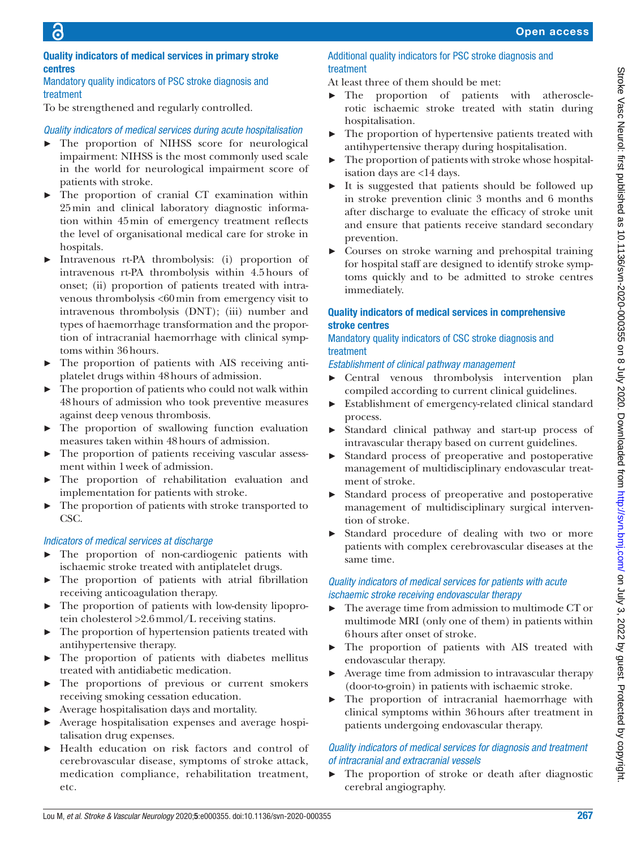#### Quality indicators of medical services in primary stroke centres

#### Mandatory quality indicators of PSC stroke diagnosis and treatment

To be strengthened and regularly controlled.

## *Quality indicators of medical services during acute hospitalisation*

- ► The proportion of NIHSS score for neurological impairment: NIHSS is the most commonly used scale in the world for neurological impairment score of patients with stroke.
- ► The proportion of cranial CT examination within 25min and clinical laboratory diagnostic information within 45min of emergency treatment reflects the level of organisational medical care for stroke in hospitals.
- Intravenous rt-PA thrombolysis: (i) proportion of intravenous rt-PA thrombolysis within 4.5hours of onset; (ii) proportion of patients treated with intravenous thrombolysis <60min from emergency visit to intravenous thrombolysis (DNT); (iii) number and types of haemorrhage transformation and the proportion of intracranial haemorrhage with clinical symptoms within 36hours.
- The proportion of patients with AIS receiving antiplatelet drugs within 48hours of admission.
- The proportion of patients who could not walk within 48hours of admission who took preventive measures against deep venous thrombosis.
- ► The proportion of swallowing function evaluation measures taken within 48hours of admission.
- ► The proportion of patients receiving vascular assessment within 1week of admission.
- The proportion of rehabilitation evaluation and implementation for patients with stroke.
- The proportion of patients with stroke transported to CSC.

#### *Indicators of medical services at discharge*

- ► The proportion of non-cardiogenic patients with ischaemic stroke treated with antiplatelet drugs.
- ► The proportion of patients with atrial fibrillation receiving anticoagulation therapy.
- ► The proportion of patients with low-density lipoprotein cholesterol >2.6mmol/L receiving statins.
- ► The proportion of hypertension patients treated with antihypertensive therapy.
- ► The proportion of patients with diabetes mellitus treated with antidiabetic medication.
- ► The proportions of previous or current smokers receiving smoking cessation education.
- Average hospitalisation days and mortality.
- ► Average hospitalisation expenses and average hospitalisation drug expenses.
- ► Health education on risk factors and control of cerebrovascular disease, symptoms of stroke attack, medication compliance, rehabilitation treatment, etc.

#### Additional quality indicators for PSC stroke diagnosis and treatment

At least three of them should be met:

- ► The proportion of patients with atherosclerotic ischaemic stroke treated with statin during hospitalisation.
- The proportion of hypertensive patients treated with antihypertensive therapy during hospitalisation.
- The proportion of patients with stroke whose hospitalisation days are <14 days.
- It is suggested that patients should be followed up in stroke prevention clinic 3 months and 6 months after discharge to evaluate the efficacy of stroke unit and ensure that patients receive standard secondary prevention.
- ► Courses on stroke warning and prehospital training for hospital staff are designed to identify stroke symptoms quickly and to be admitted to stroke centres immediately.

## Quality indicators of medical services in comprehensive stroke centres

#### Mandatory quality indicators of CSC stroke diagnosis and treatment

*Establishment of clinical pathway management*

- ► Central venous thrombolysis intervention plan compiled according to current clinical guidelines.
- ► Establishment of emergency-related clinical standard process.
- ► Standard clinical pathway and start-up process of intravascular therapy based on current guidelines.
- Standard process of preoperative and postoperative management of multidisciplinary endovascular treatment of stroke.
- Standard process of preoperative and postoperative management of multidisciplinary surgical intervention of stroke.
- Standard procedure of dealing with two or more patients with complex cerebrovascular diseases at the same time.

## *Quality indicators of medical services for patients with acute ischaemic stroke receiving endovascular therapy*

- ► The average time from admission to multimode CT or multimode MRI (only one of them) in patients within 6hours after onset of stroke.
- The proportion of patients with AIS treated with endovascular therapy.
- Average time from admission to intravascular therapy (door-to-groin) in patients with ischaemic stroke.
- ► The proportion of intracranial haemorrhage with clinical symptoms within 36hours after treatment in patients undergoing endovascular therapy.

#### *Quality indicators of medical services for diagnosis and treatment of intracranial and extracranial vessels*

► The proportion of stroke or death after diagnostic cerebral angiography.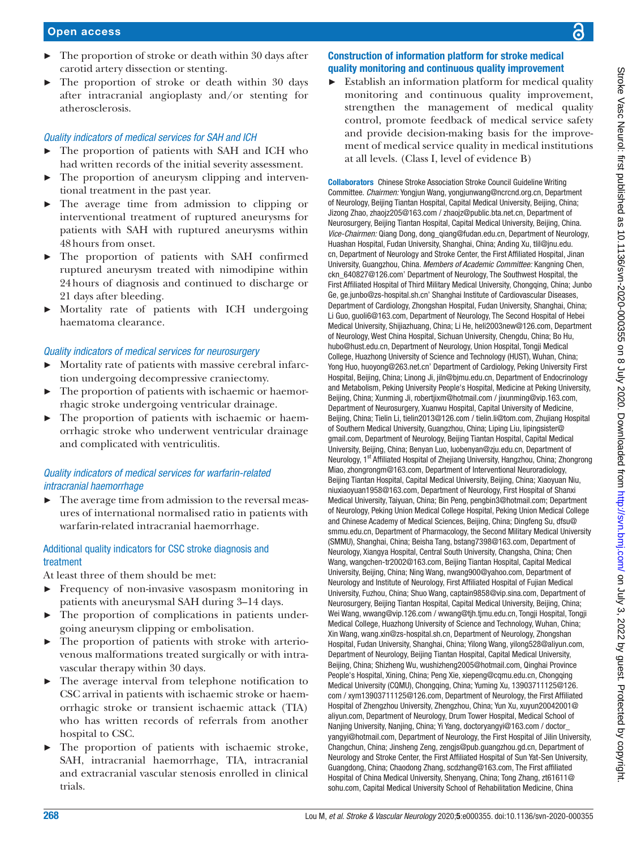- $\blacktriangleright$  The proportion of stroke or death within 30 days after carotid artery dissection or stenting.
- ► The proportion of stroke or death within 30 days after intracranial angioplasty and/or stenting for atherosclerosis.

#### *Quality indicators of medical services for SAH and ICH*

- ► The proportion of patients with SAH and ICH who had written records of the initial severity assessment.
- The proportion of aneurysm clipping and interventional treatment in the past year.
- ► The average time from admission to clipping or interventional treatment of ruptured aneurysms for patients with SAH with ruptured aneurysms within 48hours from onset.
- ► The proportion of patients with SAH confirmed ruptured aneurysm treated with nimodipine within 24hours of diagnosis and continued to discharge or 21 days after bleeding.
- ► Mortality rate of patients with ICH undergoing haematoma clearance.

#### *Quality indicators of medical services for neurosurgery*

- ► Mortality rate of patients with massive cerebral infarction undergoing decompressive craniectomy.
- ► The proportion of patients with ischaemic or haemorrhagic stroke undergoing ventricular drainage.
- ► The proportion of patients with ischaemic or haemorrhagic stroke who underwent ventricular drainage and complicated with ventriculitis.

#### *Quality indicators of medical services for warfarin-related intracranial haemorrhage*

► The average time from admission to the reversal measures of international normalised ratio in patients with warfarin-related intracranial haemorrhage.

#### Additional quality indicators for CSC stroke diagnosis and treatment

At least three of them should be met:

- ► Frequency of non-invasive vasospasm monitoring in patients with aneurysmal SAH during 3–14 days.
- The proportion of complications in patients undergoing aneurysm clipping or embolisation.
- The proportion of patients with stroke with arteriovenous malformations treated surgically or with intravascular therapy within 30 days.
- ► The average interval from telephone notification to CSC arrival in patients with ischaemic stroke or haemorrhagic stroke or transient ischaemic attack (TIA) who has written records of referrals from another hospital to CSC.
- ► The proportion of patients with ischaemic stroke, SAH, intracranial haemorrhage, TIA, intracranial and extracranial vascular stenosis enrolled in clinical trials.

## Construction of information platform for stroke medical quality monitoring and continuous quality improvement

Establish an information platform for medical quality monitoring and continuous quality improvement, strengthen the management of medical quality control, promote feedback of medical service safety and provide decision-making basis for the improvement of medical service quality in medical institutions at all levels. (Class I, level of evidence B)

Collaborators Chinese Stroke Association Stroke Council Guideline Writing Committee. *Chairmen:* Yongjun Wang, [yongjunwang@ncrcnd.org.cn](mailto:yongjunwang@ncrcnd.org.cn), Department of Neurology, Beijing Tiantan Hospital, Capital Medical University, Beijing, China; Jizong Zhao, zhaojz205@163.com / [zhaojz@public.bta.net.cn](mailto:zhaojz@public.bta.net.cn), Department of Neurosurgery, Beijing Tiantan Hospital, Capital Medical University, Beijing, China. *Vice-Chairmen:* Qiang Dong, [dong\\_qiang@fudan.edu.cn](mailto:dong_qiang@fudan.edu.cn), Department of Neurology, Huashan Hospital, Fudan University, Shanghai, China; Anding Xu, [tlil@jnu.edu.](mailto:tlil@jnu.edu.cn) [cn,](mailto:tlil@jnu.edu.cn) Department of Neurology and Stroke Center, the First Affiliated Hospital, Jinan University, Guangzhou, China. *Members of Academic Committee:* Kangning Chen, [ckn\\_640827@126.com](mailto:ckn_640827@126.com)' Department of Neurology, The Southwest Hospital, the First Affiliated Hospital of Third Military Medical University, Chongqing, China; Junbo Ge, [ge.junbo@zs-hospital.sh.cn](mailto:ge.junbo@zs-hospital.sh.cn)' Shanghai Institute of Cardiovascular Diseases, Department of Cardiology, Zhongshan Hospital, Fudan University, Shanghai, China; Li Guo, [guoli6@163.com,](mailto:guoli6@163.com) Department of Neurology, The Second Hospital of Hebei Medical University, Shijiazhuang, China; Li He, [heli2003new@126.com](mailto:heli2003new@126.com), Department of Neurology, West China Hospital, Sichuan University, Chengdu, China; Bo Hu, [hubo@hust.edu.cn,](mailto:hubo@hust.edu.cn) Department of Neurology, Union Hospital, Tongji Medical College, Huazhong University of Science and Technology (HUST), Wuhan, China; Yong Huo, [huoyong@263.net.cn](mailto:huoyong@263.net.cn)' Department of Cardiology, Peking University First Hospital, Beijing, China; Linong Ji, [jiln@bjmu.edu.cn](mailto:jiln@bjmu.edu.cn), Department of Endocrinology and Metabolism, Peking University People's Hospital, Medicine at Peking University, Beijing, China; Xunming Ji, [robertjixm@hotmail.com](mailto:robertjixm@hotmail.com) / [jixunming@vip.163.com](mailto:jixunming@vip.163.com), Department of Neurosurgery, Xuanwu Hospital, Capital University of Medicine, Beijing, China; Tielin Li, [tielin2013@126.com](mailto:tielin2013@126.com) / [tielin.li@tom.com](mailto:tielin.li@tom.com), Zhujiang Hospital of Southern Medical University, Guangzhou, China; Liping Liu, [lipingsister@](mailto:lipingsister@gmail.com) [gmail.com,](mailto:lipingsister@gmail.com) Department of Neurology, Beijing Tiantan Hospital, Capital Medical University, Beijing, China; Benyan Luo, [luobenyan@zju.edu.cn,](mailto:luobenyan@zju.edu.cn) Department of Neurology, 1<sup>st</sup> Affiliated Hospital of Zhejiang University, Hangzhou, China; Zhongrong Miao, [zhongrongm@163.com](mailto:zhongrongm@163.com), Department of Interventional Neuroradiology, Beijing Tiantan Hospital, Capital Medical University, Beijing, China; Xiaoyuan Niu, [niuxiaoyuan1958@163.com](mailto:niuxiaoyuan1958@163.com), Department of Neurology, First Hospital of Shanxi Medical University, Taiyuan, China; Bin Peng, [pengbin3@hotmail.com](mailto:pengbin3@hotmail.com); Department of Neurology, Peking Union Medical College Hospital, Peking Union Medical College and Chinese Academy of Medical Sciences, Beijing, China; Dingfeng Su, [dfsu@](mailto:dfsu@smmu.edu.cn) [smmu.edu.cn](mailto:dfsu@smmu.edu.cn), Department of Pharmacology, the Second Military Medical University (SMMU), Shanghai, China; Beisha Tang, [bstang7398@163.com](mailto:bstang7398@163.com), Department of Neurology, Xiangya Hospital, Central South University, Changsha, China; Chen Wang, [wangchen-tr2002@163.com,](mailto:wangchen-tr2002@163.com) Beijing Tiantan Hospital, Capital Medical University, Beijing, China; Ning Wang, [nwang900@yahoo.com](mailto:nwang900@yahoo.com), Department of Neurology and Institute of Neurology, First Affiliated Hospital of Fujian Medical University, Fuzhou, China; Shuo Wang, [captain9858@vip.sina.com,](mailto:captain9858@vip.sina.com) Department of Neurosurgery, Beijing Tiantan Hospital, Capital Medical University, Beijing, China; Wei Wang, [wwang@vip.126.com](mailto:wwang@vip.126.com) / [wwang@tjh.tjmu.edu.cn](mailto:wwang@tjh.tjmu.edu.cn), Tongji Hospital, Tongji Medical College, Huazhong University of Science and Technology, Wuhan, China; Xin Wang, [wang.xin@zs-hospital.sh.cn](mailto:wang.xin@zs-hospital.sh.cn), Department of Neurology, Zhongshan Hospital, Fudan University, Shanghai, China; Yilong Wang, [yilong528@aliyun.com,](mailto:yilong528@aliyun.com) Department of Neurology, Beijing Tiantan Hospital, Capital Medical University, Beijing, China; Shizheng Wu, [wushizheng2005@hotmail.com](mailto:wushizheng2005@hotmail.com), Qinghai Province People's Hospital, Xining, China; Peng Xie, [xiepeng@cqmu.edu.cn](mailto:xiepeng@cqmu.edu.cn), Chongqing Medical University (CQMU), Chongqing, China; Yuming Xu, [13903711125@126.](mailto:13903711125@126.com) [com](mailto:13903711125@126.com) / [xym13903711125@126.com,](mailto:xym13903711125@126.com) Department of Neurology, the First Affiliated Hospital of Zhengzhou University, Zhengzhou, China; Yun Xu, [xuyun20042001@](mailto:xuyun20042001@aliyun.com) [aliyun.com](mailto:xuyun20042001@aliyun.com), Department of Neurology, Drum Tower Hospital, Medical School of Nanjing University, Nanjing, China; Yi Yang, [doctoryangyi@163.com](mailto:doctoryangyi@163.com) / [doctor\\_](mailto:doctor_yangyi@hotmail.com) [yangyi@hotmail.com](mailto:doctor_yangyi@hotmail.com), Department of Neurology, the First Hospital of Jilin University, Changchun, China; Jinsheng Zeng, [zengjs@pub.guangzhou.gd.cn](mailto:zengjs@pub.guangzhou.gd.cn), Department of Neurology and Stroke Center, the First Affiliated Hospital of Sun Yat-Sen University, Guangdong, China; Chaodong Zhang, [scdzhang@163.com,](mailto:scdzhang@163.com) The First affiliated Hospital of China Medical University, Shenyang, China; Tong Zhang, [zt61611@](mailto:zt61611@sohu.com) [sohu.com,](mailto:zt61611@sohu.com) Capital Medical University School of Rehabilitation Medicine, China